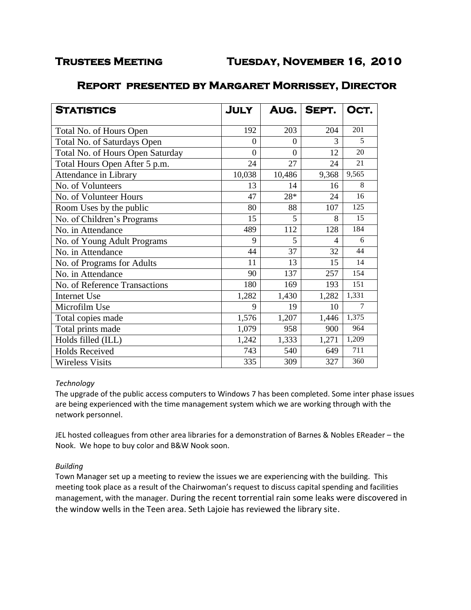| <b>STATISTICS</b>                | <b>JULY</b>    |          | AUG.   SEPT. | OCT.           |
|----------------------------------|----------------|----------|--------------|----------------|
| Total No. of Hours Open          | 192            | 203      | 204          | 201            |
| Total No. of Saturdays Open      | $\theta$       | $\Omega$ | 3            | 5              |
| Total No. of Hours Open Saturday | $\overline{0}$ | $\theta$ | 12           | 20             |
| Total Hours Open After 5 p.m.    | 24             | 27       | 24           | 21             |
| Attendance in Library            | 10,038         | 10,486   | 9,368        | 9,565          |
| No. of Volunteers                | 13             | 14       | 16           | 8              |
| No. of Volunteer Hours           | 47             | 28*      | 24           | 16             |
| Room Uses by the public          | 80             | 88       | 107          | 125            |
| No. of Children's Programs       | 15             | 5        | 8            | 15             |
| No. in Attendance                | 489            | 112      | 128          | 184            |
| No. of Young Adult Programs      | 9              | 5        | 4            | 6              |
| No. in Attendance                | 44             | 37       | 32           | 44             |
| No. of Programs for Adults       | 11             | 13       | 15           | 14             |
| No. in Attendance                | 90             | 137      | 257          | 154            |
| No. of Reference Transactions    | 180            | 169      | 193          | 151            |
| <b>Internet Use</b>              | 1,282          | 1,430    | 1,282        | 1,331          |
| Microfilm Use                    | 9              | 19       | 10           | $\overline{7}$ |
| Total copies made                | 1,576          | 1,207    | 1,446        | 1,375          |
| Total prints made                | 1,079          | 958      | 900          | 964            |
| Holds filled (ILL)               | 1,242          | 1,333    | 1,271        | 1,209          |
| <b>Holds Received</b>            | 743            | 540      | 649          | 711            |
| <b>Wireless Visits</b>           | 335            | 309      | 327          | 360            |

# **Report presented by Margaret Morrissey, Director**

#### *Technology*

The upgrade of the public access computers to Windows 7 has been completed. Some inter phase issues are being experienced with the time management system which we are working through with the network personnel.

JEL hosted colleagues from other area libraries for a demonstration of Barnes & Nobles EReader – the Nook. We hope to buy color and B&W Nook soon.

### *Building*

Town Manager set up a meeting to review the issues we are experiencing with the building. This meeting took place as a result of the Chairwoman's request to discuss capital spending and facilities management, with the manager. During the recent torrential rain some leaks were discovered in the window wells in the Teen area. Seth Lajoie has reviewed the library site.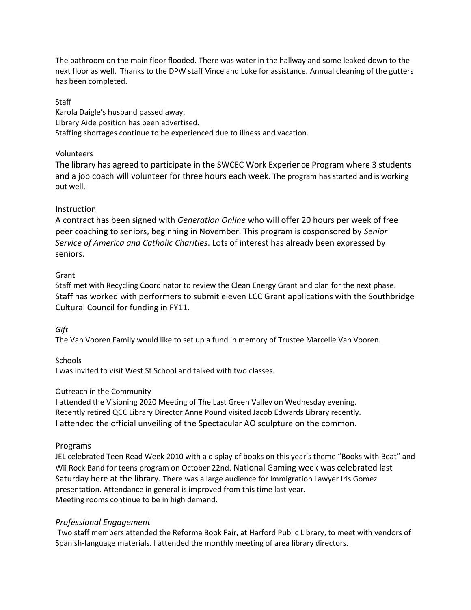The bathroom on the main floor flooded. There was water in the hallway and some leaked down to the next floor as well. Thanks to the DPW staff Vince and Luke for assistance. Annual cleaning of the gutters has been completed.

**Staff** Karola Daigle's husband passed away. Library Aide position has been advertised. Staffing shortages continue to be experienced due to illness and vacation.

### Volunteers

The library has agreed to participate in the SWCEC Work Experience Program where 3 students and a job coach will volunteer for three hours each week. The program has started and is working out well.

### **Instruction**

A contract has been signed with *Generation Online* who will offer 20 hours per week of free peer coaching to seniors, beginning in November. This program is cosponsored by *Senior Service of America and Catholic Charities*. Lots of interest has already been expressed by seniors.

#### Grant

Staff met with Recycling Coordinator to review the Clean Energy Grant and plan for the next phase. Staff has worked with performers to submit eleven LCC Grant applications with the Southbridge Cultural Council for funding in FY11.

#### *Gift*

The Van Vooren Family would like to set up a fund in memory of Trustee Marcelle Van Vooren.

#### **Schools**

I was invited to visit West St School and talked with two classes.

### Outreach in the Community

I attended the Visioning 2020 Meeting of The Last Green Valley on Wednesday evening. Recently retired QCC Library Director Anne Pound visited Jacob Edwards Library recently. I attended the official unveiling of the Spectacular AO sculpture on the common.

#### Programs

JEL celebrated Teen Read Week 2010 with a display of books on this year's theme "Books with Beat" and Wii Rock Band for teens program on October 22nd. National Gaming week was celebrated last Saturday here at the library. There was a large audience for Immigration Lawyer Iris Gomez presentation. Attendance in general is improved from this time last year. Meeting rooms continue to be in high demand.

#### *Professional Engagement*

Two staff members attended the Reforma Book Fair, at Harford Public Library, to meet with vendors of Spanish-language materials. I attended the monthly meeting of area library directors.